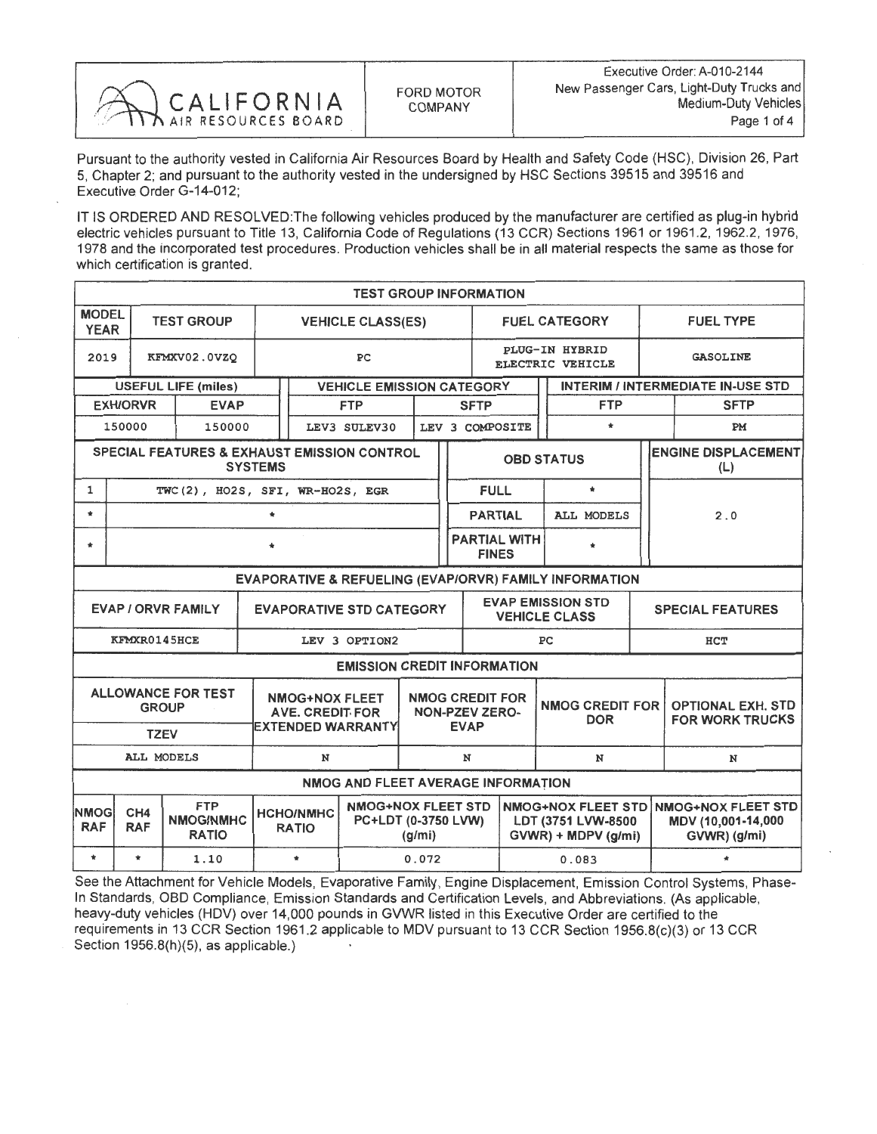

Pursuant to the authority vested in California Air Resources Board by Health and Safety Code (HSC), Division 26, Part 5, Chapter 2; and pursuant to the authority vested in the undersigned by HSC Sections 39515 and 39516 and Executive Order G-14-012;

IT IS ORDERED AND RESOLVED: The following vehicles produced by the manufacturer are certified as plug-in hybrid<br>electric vehicles pursuant to Title 13, California Code of Regulations (13 CCR) Sections 1961 or 1961.2, 1962. electric vehicles pursuant to Title 13, California Code of Regulations (13 CCR) Sections 1961 or 1961.2, 1962.2, 1976, 1978 and the incorporated test procedures. Production vehicles shall be in all material respects the same as those for which certification is granted.

| <b>TEST GROUP INFORMATION</b>                                            |                                                                                                                                                                            |                                               |    |                                                                             |                                    |  |                                                                |                                                  |                                     |                                      |                                                                             |                                   |                                                    |  |  |
|--------------------------------------------------------------------------|----------------------------------------------------------------------------------------------------------------------------------------------------------------------------|-----------------------------------------------|----|-----------------------------------------------------------------------------|------------------------------------|--|----------------------------------------------------------------|--------------------------------------------------|-------------------------------------|--------------------------------------|-----------------------------------------------------------------------------|-----------------------------------|----------------------------------------------------|--|--|
| <b>MODEL</b><br><b>YEAR</b>                                              |                                                                                                                                                                            | <b>TEST GROUP</b><br><b>VEHICLE CLASS(ES)</b> |    |                                                                             |                                    |  |                                                                |                                                  |                                     | <b>FUEL CATEGORY</b>                 |                                                                             |                                   | <b>FUEL TYPE</b>                                   |  |  |
| 2019                                                                     |                                                                                                                                                                            | KFMXV02.0VZQ                                  | PC |                                                                             |                                    |  |                                                                | PLUG-IN HYBRID<br>ELECTRIC VEHICLE               |                                     |                                      |                                                                             | <b>GASOLINE</b>                   |                                                    |  |  |
|                                                                          |                                                                                                                                                                            | <b>USEFUL LIFE (miles)</b>                    |    |                                                                             | <b>VEHICLE EMISSION CATEGORY</b>   |  |                                                                |                                                  |                                     |                                      |                                                                             |                                   | <b>INTERIM / INTERMEDIATE IN-USE STD</b>           |  |  |
|                                                                          | <b>EXH/ORVR</b>                                                                                                                                                            | <b>EVAP</b>                                   |    | <b>FTP</b>                                                                  |                                    |  | <b>SFTP</b>                                                    |                                                  |                                     | <b>FTP</b>                           |                                                                             | <b>SFTP</b>                       |                                                    |  |  |
|                                                                          | 150000                                                                                                                                                                     | 150000                                        |    |                                                                             | LEV3 SULEV30<br>LEV 3 COMPOSITE    |  |                                                                |                                                  |                                     | $\star$                              |                                                                             | PM                                |                                                    |  |  |
| <b>SPECIAL FEATURES &amp; EXHAUST EMISSION CONTROL</b><br><b>SYSTEMS</b> |                                                                                                                                                                            |                                               |    |                                                                             |                                    |  |                                                                | <b>OBD STATUS</b>                                |                                     |                                      |                                                                             | <b>ENGINE DISPLACEMENT</b><br>(L) |                                                    |  |  |
| 1                                                                        |                                                                                                                                                                            | TWC(2), HO2S, SFI, WR-HO2S, EGR               |    |                                                                             |                                    |  |                                                                |                                                  | <b>FULL</b>                         |                                      | $\star$                                                                     |                                   |                                                    |  |  |
| $\star$                                                                  | $\star$                                                                                                                                                                    |                                               |    |                                                                             |                                    |  |                                                                |                                                  | <b>PARTIAL</b>                      |                                      | <b>ALL MODELS</b>                                                           |                                   | 2.0                                                |  |  |
| $\star$                                                                  |                                                                                                                                                                            |                                               |    |                                                                             |                                    |  |                                                                |                                                  | <b>PARTIAL WITH</b><br><b>FINES</b> |                                      |                                                                             |                                   |                                                    |  |  |
|                                                                          | EVAPORATIVE & REFUELING (EVAP/ORVR) FAMILY INFORMATION                                                                                                                     |                                               |    |                                                                             |                                    |  |                                                                |                                                  |                                     |                                      |                                                                             |                                   |                                                    |  |  |
| <b>EVAP / ORVR FAMILY</b><br><b>EVAPORATIVE STD CATEGORY</b>             |                                                                                                                                                                            |                                               |    |                                                                             |                                    |  |                                                                | <b>EVAP EMISSION STD</b><br><b>VEHICLE CLASS</b> |                                     |                                      | <b>SPECIAL FEATURES</b>                                                     |                                   |                                                    |  |  |
| KFMXR0145HCE<br>LEV 3 OPTION2                                            |                                                                                                                                                                            |                                               |    |                                                                             |                                    |  |                                                                |                                                  |                                     | PC                                   |                                                                             | HCT                               |                                                    |  |  |
|                                                                          |                                                                                                                                                                            |                                               |    |                                                                             | <b>EMISSION CREDIT INFORMATION</b> |  |                                                                |                                                  |                                     |                                      |                                                                             |                                   |                                                    |  |  |
|                                                                          | <b>TZEV</b>                                                                                                                                                                | <b>ALLOWANCE FOR TEST</b><br><b>GROUP</b>     |    | <b>NMOG+NOX FLEET</b><br><b>AVE. CREDIT FOR</b><br><b>EXTENDED WARRANTY</b> |                                    |  | <b>NMOG CREDIT FOR</b><br><b>NON-PZEV ZERO-</b><br><b>EVAP</b> |                                                  |                                     | <b>NMOG CREDIT FOR</b><br><b>DOR</b> |                                                                             |                                   | <b>OPTIONAL EXH. STD</b><br><b>FOR WORK TRUCKS</b> |  |  |
|                                                                          | <b>ALL MODELS</b>                                                                                                                                                          |                                               |    | N                                                                           |                                    |  | N                                                              |                                                  |                                     | N                                    |                                                                             |                                   | N                                                  |  |  |
| NMOG AND FLEET AVERAGE INFORMATION                                       |                                                                                                                                                                            |                                               |    |                                                                             |                                    |  |                                                                |                                                  |                                     |                                      |                                                                             |                                   |                                                    |  |  |
| <b>NMOG</b><br><b>RAF</b>                                                | <b>FTP</b><br><b>NMOG+NOX FLEET STD</b><br>CH <sub>4</sub><br><b>HCHO/NMHC</b><br>NMOG/NMHC<br>PC+LDT (0-3750 LVW)<br><b>RAF</b><br><b>RATIO</b><br><b>RATIO</b><br>(g/mi) |                                               |    |                                                                             |                                    |  |                                                                | LDT (3751 LVW-8500<br>$GVWR$ ) + MDPV (g/mi)     |                                     |                                      | NMOG+NOX FLEET STD NMOG+NOX FLEET STD<br>MDV (10,001-14,000<br>GVWR) (g/mi) |                                   |                                                    |  |  |
| $\star$                                                                  | $\bullet$                                                                                                                                                                  | 1.10                                          |    | $\star$<br>0.072                                                            |                                    |  |                                                                |                                                  |                                     | 0.083                                |                                                                             |                                   | $\bullet$                                          |  |  |

See the Attachment for Vehicle Models, Evaporative Family, Engine Displacement, Emission Control Systems, Phase-In Standards, OBD Compliance, Emission Standards and Certification Levels, and Abbreviations. (As applicable, heavy-duty vehicles (HDV) over 14,000 pounds in GVWR listed in this Executive Order are certified to the requirements in 13 CCR Section 1961.2 applicable to MDV pursuant to 13 CCR Section 1956.8(c)(3) or 13 CCR Section 1956.8(h)(5), as applicable.)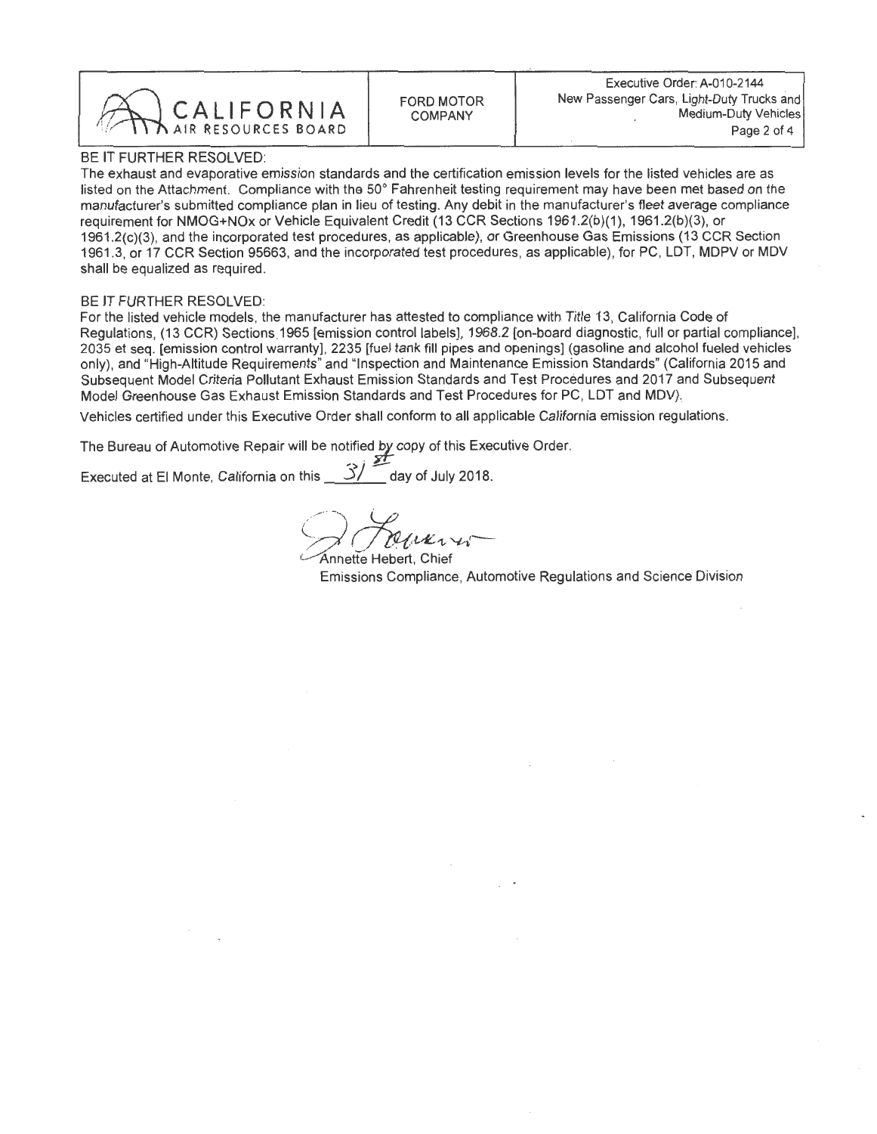

## BE IT FURTHER RESOLVED:

The exhaust and evaporative emission standards and the certification emission levels for the listed vehicles are as<br>listed on the Attachment. Compliance with the 50° Fahrenheit testing requirement may have been met based o listed on the Attachment. Compliance with the 50 Fahrenheit testing requirement may have been met based on the manufacturer's submitted compilance plan in lieu of testing. Any debit in the manufacturer's fleet average compilance requirement for NMOG+NOx or Vehicle Equivalent Credit (13 CCR Sections 1961.2(b)(1), 1961.2(b)(3), or<br>1961.2(c)(3), and the incorporated test procedures, as applicable), or Greenhouse Gas Emissions (13 CCR Section  $1961.2(c)(3)$ , and the incorporated test procedures, as applicable), or Greenhouse Gas Emissions (13 CCR Section 1961.3, or 17 CCR Section 95663, and the incorporated test procedures, as applicable), for PC, LDT, MDPV or MDV shall be equalized as required.

## BE IT FURTHER RESOLVED:

For the listed vehicle models, the manufacturer has attested to compliance with Title 13, California Code of Regulations, (13 CCR) Sections 1965 [emission control labels], 1968.2 [on-board diagnostic, full or partial compliance], 2035 et seq. [emission control warranty], 2235 [fuel tank fill pipes and openings] (gasoline and alco 2035 et seq. [emission control warranty], 2235 [fuel tank fill pipes and openings] (gasoline and alcohol fueled vehicles only), and "High-Altitude Requirements" and "Inspection and Maintenance Emission Standards" (California 2015 and Subsequent Model Criteria Pollutant Exhaust Emission Standards and Test Procedures and 2017 and Subsequent Model Greenhouse Gas Exhaust Emission Standards and Test Procedures for PC, LDT and MDV).

Vehicles certified under this Executive Order shall conform to all applicable California emission regulations.

The Bureau of Automotive Repair will be notified by copy of this Executive Order.

Executed at El Monte, California on this  $\frac{3}{4}$  day of July 2018.

Annette Hebert. Chief

Emissions Compliance, Automotive Regulations and Science Division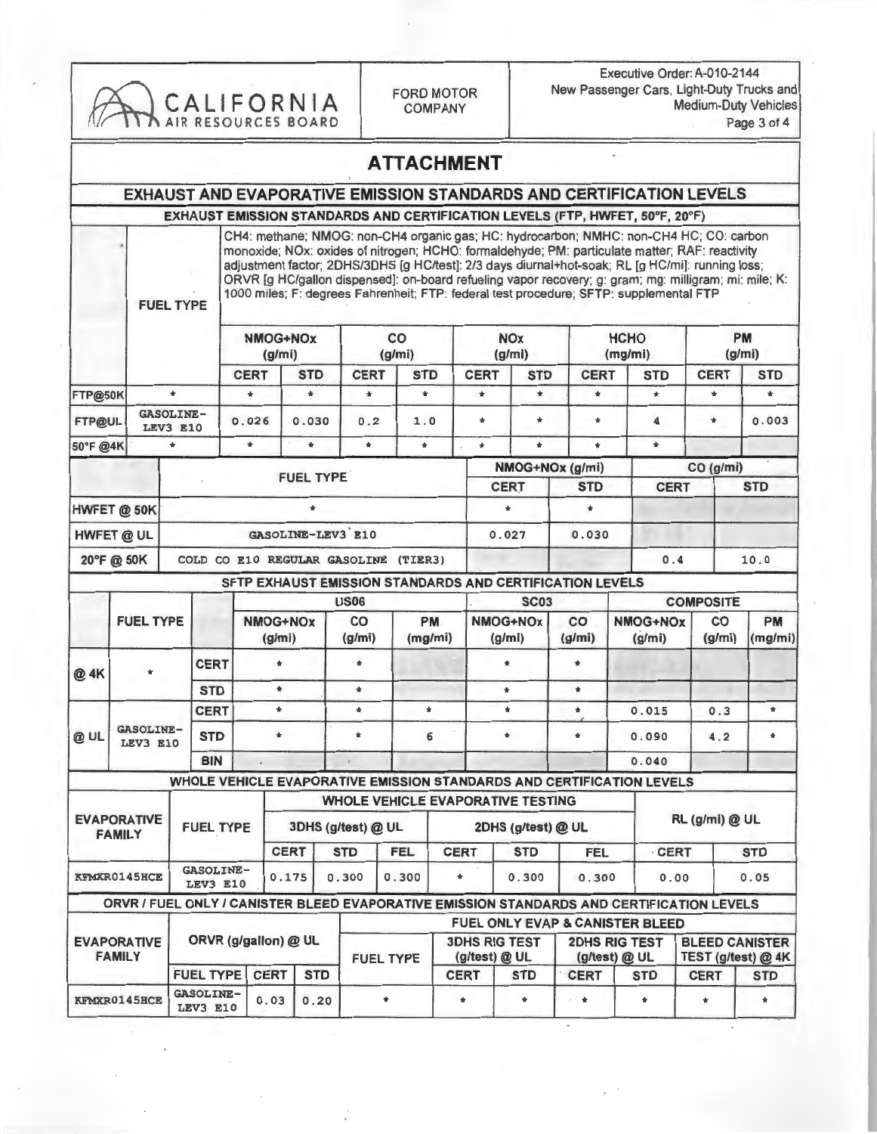| CALIFORNIA<br>AIR RESOURCES BOARD      |                                     |                                     |                                     |                              |                                                                                                                                                                                                                                                                                                                                                                                                                                                                                                 |                         | <b>FORD MOTOR</b>        | <b>COMPANY</b>                       |               |                                       | Executive Order: A-010-2144<br>New Passenger Cars, Light-Duty Trucks and<br><b>Medium-Duty Vehicles</b><br>Page 3 of 4 |                                                                                           |                           |                           |                                             |                 |       |
|----------------------------------------|-------------------------------------|-------------------------------------|-------------------------------------|------------------------------|-------------------------------------------------------------------------------------------------------------------------------------------------------------------------------------------------------------------------------------------------------------------------------------------------------------------------------------------------------------------------------------------------------------------------------------------------------------------------------------------------|-------------------------|--------------------------|--------------------------------------|---------------|---------------------------------------|------------------------------------------------------------------------------------------------------------------------|-------------------------------------------------------------------------------------------|---------------------------|---------------------------|---------------------------------------------|-----------------|-------|
|                                        |                                     |                                     |                                     |                              |                                                                                                                                                                                                                                                                                                                                                                                                                                                                                                 |                         |                          | <b>ATTACHMENT</b>                    |               |                                       |                                                                                                                        |                                                                                           |                           |                           |                                             |                 |       |
|                                        |                                     |                                     |                                     |                              |                                                                                                                                                                                                                                                                                                                                                                                                                                                                                                 |                         |                          |                                      |               |                                       |                                                                                                                        | EXHAUST AND EVAPORATIVE EMISSION STANDARDS AND CERTIFICATION LEVELS                       |                           |                           |                                             |                 |       |
|                                        |                                     |                                     |                                     |                              |                                                                                                                                                                                                                                                                                                                                                                                                                                                                                                 |                         |                          |                                      |               |                                       |                                                                                                                        | EXHAUST EMISSION STANDARDS AND CERTIFICATION LEVELS (FTP, HWFET, 50°F, 20°F)              |                           |                           |                                             |                 |       |
|                                        |                                     | <b>FUEL TYPE</b>                    |                                     |                              | CH4: methane; NMOG: non-CH4 organic gas; HC: hydrocarbon; NMHC: non-CH4 HC; CO: carbon<br>monoxide; NOx: oxides of nitrogen; HCHO: formaldehyde; PM: particulate matter; RAF: reactivity<br>adjustment factor; 2DHS/3DHS [g HC/test]: 2/3 days diurnal+hot-soak; RL [g HC/mi]: running loss;<br>ORVR [g HC/gallon dispensed]: on-board refueling vapor recovery; g: gram; mg: milligram; mi: mile; K:<br>1000 miles; F: degrees Fahrenheit; FTP: federal test procedure; SFTP: supplemental FTP |                         |                          |                                      |               |                                       |                                                                                                                        |                                                                                           |                           |                           |                                             |                 |       |
|                                        |                                     |                                     |                                     | <b>NMOG+NOx</b><br>(g/mi)    |                                                                                                                                                                                                                                                                                                                                                                                                                                                                                                 |                         | co<br>(g/mi)             |                                      |               | <b>NOx</b><br>(g/mi)                  |                                                                                                                        | <b>HCHO</b><br>(mg/mi)                                                                    |                           |                           |                                             | PM<br>(g/mi)    |       |
|                                        |                                     |                                     |                                     | <b>CERT</b>                  |                                                                                                                                                                                                                                                                                                                                                                                                                                                                                                 | <b>STD</b>              | <b>CERT</b>              | <b>STD</b>                           |               | <b>CERT</b><br><b>STD</b>             |                                                                                                                        | <b>CERT</b>                                                                               | <b>STD</b>                |                           | <b>CERT</b>                                 | <b>STD</b>      |       |
| FTP@50K                                |                                     | $\Phi$                              |                                     | $\Phi$                       |                                                                                                                                                                                                                                                                                                                                                                                                                                                                                                 | $\ast$                  | $\star$                  | $\Phi$                               |               | $\pm$                                 | $\mathbf{r}$                                                                                                           | $\frac{1}{2}$                                                                             |                           | $\bullet$                 | $\mathbf{r}$                                | ٠               |       |
| FTP@UL                                 |                                     | <b>GASOLINE-</b><br><b>LEV3 E10</b> |                                     | 0.026                        |                                                                                                                                                                                                                                                                                                                                                                                                                                                                                                 | 0.030                   | 0.2                      | 1.0                                  |               | $\frac{1}{2}$                         | $\ast$                                                                                                                 | $\star$                                                                                   |                           | $\overline{\mathbf{A}}$   | ÷                                           | 0.003           |       |
| 50°F @4K                               |                                     | $\star$                             |                                     | $\star$                      |                                                                                                                                                                                                                                                                                                                                                                                                                                                                                                 | $\star$                 | $\pm$                    | $\star$                              |               | $\star$                               | $\star$                                                                                                                | $\star$                                                                                   |                           | $\frac{1}{2}$             |                                             |                 |       |
|                                        |                                     |                                     |                                     |                              |                                                                                                                                                                                                                                                                                                                                                                                                                                                                                                 | <b>FUEL TYPE</b>        |                          |                                      |               |                                       |                                                                                                                        | NMOG+NOx (g/mi)                                                                           |                           |                           | CO (g/mi)                                   |                 |       |
|                                        |                                     |                                     |                                     |                              |                                                                                                                                                                                                                                                                                                                                                                                                                                                                                                 |                         |                          |                                      |               | <b>CERT</b>                           |                                                                                                                        |                                                                                           | <b>STD</b><br><b>CERT</b> |                           |                                             | <b>STD</b>      |       |
|                                        | HWFET @ 50K                         |                                     |                                     |                              |                                                                                                                                                                                                                                                                                                                                                                                                                                                                                                 | $\ast$                  |                          |                                      | $\ast$        | $\star$                               |                                                                                                                        |                                                                                           |                           |                           |                                             |                 |       |
| GASOLINE-LEV3 E10<br><b>HWFET @ UL</b> |                                     |                                     |                                     |                              |                                                                                                                                                                                                                                                                                                                                                                                                                                                                                                 |                         |                          |                                      | 0.027         | 0.030                                 |                                                                                                                        |                                                                                           |                           |                           |                                             |                 |       |
|                                        | 20°F @ 50K                          |                                     |                                     |                              |                                                                                                                                                                                                                                                                                                                                                                                                                                                                                                 |                         |                          | COLD CO E10 REGULAR GASOLINE (TIER3) |               |                                       |                                                                                                                        |                                                                                           |                           | 0.4                       |                                             | 10.0            |       |
|                                        |                                     |                                     |                                     |                              |                                                                                                                                                                                                                                                                                                                                                                                                                                                                                                 |                         |                          |                                      |               |                                       |                                                                                                                        | SFTP EXHAUST EMISSION STANDARDS AND CERTIFICATION LEVELS                                  |                           |                           |                                             |                 |       |
|                                        |                                     | <b>FUEL TYPE</b>                    |                                     |                              |                                                                                                                                                                                                                                                                                                                                                                                                                                                                                                 |                         | <b>US06</b><br><b>PM</b> |                                      |               |                                       | <b>SC03</b>                                                                                                            |                                                                                           |                           |                           | <b>COMPOSITE</b>                            | PM<br>CO        |       |
|                                        |                                     |                                     |                                     | NMOG+NOx<br>(g/mi)           |                                                                                                                                                                                                                                                                                                                                                                                                                                                                                                 |                         | CO<br>(g/mi)             |                                      | (mg/mi)       |                                       | NMOG+NOx<br>(g/mi)                                                                                                     | co<br>(g/mi)                                                                              |                           | <b>NMOG+NOx</b><br>(g/mi) | (g/mi)                                      | (mg/mi)         |       |
| @ 4K                                   |                                     | <b>CERT</b><br><b>STD</b>           |                                     | ٠                            |                                                                                                                                                                                                                                                                                                                                                                                                                                                                                                 |                         | $\cdot$                  |                                      |               |                                       | $\star$                                                                                                                | $\ast$                                                                                    |                           |                           |                                             |                 |       |
|                                        |                                     |                                     |                                     |                              | $\pmb{\ast}$                                                                                                                                                                                                                                                                                                                                                                                                                                                                                    |                         | $\star$                  |                                      |               |                                       | $\star$                                                                                                                | $\star$                                                                                   |                           |                           |                                             |                 |       |
|                                        |                                     |                                     | <b>CERT</b>                         |                              | $\ast$                                                                                                                                                                                                                                                                                                                                                                                                                                                                                          | $\ast$<br>*             |                          | $\star$<br>6                         |               |                                       | $\star$                                                                                                                | $\pmb{\ast}$                                                                              | 0.015                     |                           | 0.3                                         | $\ast$<br>$\pm$ |       |
| @ UL                                   |                                     | <b>BIN</b>                          |                                     | <b>GASOLINE-</b><br>LEV3 E10 |                                                                                                                                                                                                                                                                                                                                                                                                                                                                                                 |                         |                          |                                      |               | <b>STD</b><br>$\bullet$               |                                                                                                                        |                                                                                           | $\star$                   | $\ast$                    |                                             |                 | 0.090 |
|                                        |                                     |                                     |                                     |                              |                                                                                                                                                                                                                                                                                                                                                                                                                                                                                                 |                         |                          |                                      |               |                                       |                                                                                                                        |                                                                                           |                           | 0.040                     |                                             |                 |       |
|                                        |                                     |                                     |                                     |                              |                                                                                                                                                                                                                                                                                                                                                                                                                                                                                                 |                         |                          |                                      |               |                                       |                                                                                                                        | WHOLE VEHICLE EVAPORATIVE EMISSION STANDARDS AND CERTIFICATION LEVELS                     |                           |                           |                                             |                 |       |
|                                        |                                     |                                     |                                     |                              |                                                                                                                                                                                                                                                                                                                                                                                                                                                                                                 |                         |                          |                                      |               |                                       | <b>WHOLE VEHICLE EVAPORATIVE TESTING</b>                                                                               |                                                                                           |                           |                           |                                             |                 |       |
| <b>EVAPORATIVE</b><br><b>FAMILY</b>    |                                     | <b>FUEL TYPE</b>                    |                                     |                              |                                                                                                                                                                                                                                                                                                                                                                                                                                                                                                 | 3DHS (g/test) @ UL      |                          |                                      |               |                                       | 2DHS (g/test) @ UL                                                                                                     |                                                                                           |                           |                           |                                             | RL (g/mi) @ UL  |       |
|                                        |                                     |                                     |                                     |                              | <b>CERT</b>                                                                                                                                                                                                                                                                                                                                                                                                                                                                                     |                         | <b>FEL</b><br><b>STD</b> |                                      | <b>CERT</b>   |                                       | <b>STD</b>                                                                                                             | FEL                                                                                       |                           | <b>CERT</b>               |                                             | <b>STD</b>      |       |
| KFMXR0145HCE                           |                                     |                                     | <b>GASOLINE-</b><br><b>LEV3 E10</b> |                              |                                                                                                                                                                                                                                                                                                                                                                                                                                                                                                 | 0.300<br>0.300<br>0.175 |                          |                                      | $\frac{1}{2}$ |                                       | 0.300                                                                                                                  |                                                                                           | 0.300                     |                           | 0.05<br>0.00                                |                 |       |
|                                        |                                     |                                     |                                     |                              |                                                                                                                                                                                                                                                                                                                                                                                                                                                                                                 |                         |                          |                                      |               |                                       |                                                                                                                        | ORVR / FUEL ONLY / CANISTER BLEED EVAPORATIVE EMISSION STANDARDS AND CERTIFICATION LEVELS |                           |                           |                                             |                 |       |
|                                        | <b>EVAPORATIVE</b><br><b>FAMILY</b> |                                     |                                     |                              | ORVR (g/gallon) @ UL                                                                                                                                                                                                                                                                                                                                                                                                                                                                            |                         |                          |                                      |               | <b>3DHS RIG TEST</b><br>(g/test) @ UL |                                                                                                                        | FUEL ONLY EVAP & CANISTER BLEED<br><b>2DHS RIG TEST</b><br>(g/test) @ UL                  |                           |                           | <b>BLEED CANISTER</b><br>TEST (g/test) @ 4K |                 |       |
|                                        |                                     |                                     | <b>FUEL TYPE</b>                    | <b>CERT</b>                  |                                                                                                                                                                                                                                                                                                                                                                                                                                                                                                 | <b>STD</b>              | <b>FUEL TYPE</b>         |                                      |               | <b>CERT</b>                           | <b>STD</b>                                                                                                             | <b>CERT</b>                                                                               |                           | <b>STD</b>                | <b>CERT</b>                                 | <b>STD</b>      |       |
| <b>KFMXR0145HCE</b>                    |                                     |                                     | <b>GASOLINE-</b><br><b>LEV3 E10</b> | 0.03<br>0.20                 |                                                                                                                                                                                                                                                                                                                                                                                                                                                                                                 | $\pmb{\ast}$            |                          |                                      | *             | $\pmb{\ast}$                          | $\dot{\pi}$                                                                                                            |                                                                                           | $\pmb{\ast}$              | $\ast$                    | $\pmb{\ast}$                                |                 |       |

 $\overline{\phantom{a}}$ 

 $\overline{\phantom{a}}$ 

 $\begin{array}{c} \begin{array}{c} \begin{array}{c} \end{array} \\ \begin{array}{c} \end{array} \end{array} \end{array}$